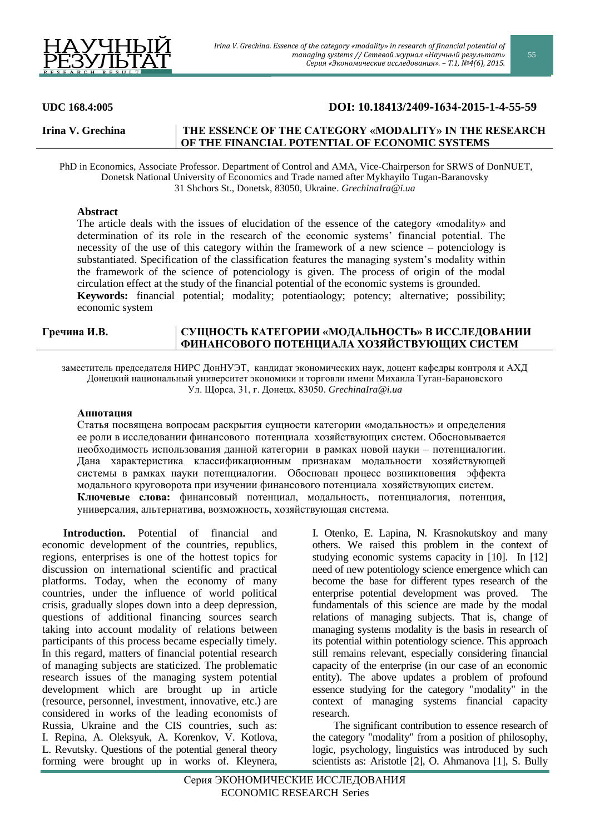

55

# **UDC 168.4:005 DOI: 10.18413/2409-1634-2015-1-4-55-59**

# **Irina V. Grechina THE ESSENCE OF THE CATEGORY «MODALITY» IN THE RESEARCH OF THE FINANCIAL POTENTIAL OF ECONOMIC SYSTEMS**

 PhD in Economics, Associate Professor. Department of Control and АMA, Vice-Chairperson for SRWS of DonNUET, Donetsk National University of Economics and Trade named after Mykhayilo Tugan-Baranovsky 31 Shchors St., Donetsk, 83050, Ukraine. *[GrechinaIra@i.ua](mailto:grechinaira@i.ua)*

## **Abstract**

The article deals with the issues of elucidation of the essence of the category «modality» and determination of its role in the research of the economic systems' financial potential. The necessity of the use of this category within the framework of a new science – potenciology is substantiated. Specification of the classification features the managing system's modality within the framework of the science of potenciology is given. The process of origin of the modal circulation effect at the study of the financial potential of the economic systems is grounded. **Keywords:** financial potential; modality; potentiaology; potency; alternative; possibility; economic system

## **Гречина И.В. СУЩНОСТЬ КАТЕГОРИИ «МОДАЛЬНОСТЬ» В ИССЛЕДОВАНИИ ФИНАНСОВОГО ПОТЕНЦИАЛА ХОЗЯЙСТВУЮЩИХ СИСТЕМ**

заместитель председателя НИРС ДонНУЭТ, кандидат экономических наук, доцент кафедры контроля и АХД Донецкий национальный университет экономики и торговли имени Михаила Туган-Барановского Ул. Щорса, 31, г. Донецк, 83050. *[GrechinaIra@i.ua](mailto:grechinaira@i.ua)*

#### **Аннотация**

Статья посвящена вопросам раскрытия сущности категории «модальность» и определения ее роли в исследовании финансового потенциала хозяйствующих систем. Обосновывается необходимость использования данной категории в рамках новой науки – потенциалогии. Дана характеристика классификационным признакам модальности хозяйствующей системы в рамках науки потенциалогии. Обоснован процесс возникновения эффекта модального круговорота при изучении финансового потенциала хозяйствующих систем. **Ключевые слова:** финансовый потенциал, модальность, потенциалогия, потенция, универсалия, альтернатива, возможность, хозяйствующая система.

**Introduction.** Potential of financial and economic development of the countries, republics, regions, enterprises is one of the hottest topics for discussion on international scientific and practical platforms. Today, when the economy of many countries, under the influence of world political crisis, gradually slopes down into a deep depression, questions of additional financing sources search taking into account modality of relations between participants of this process became especially timely. In this regard, matters of financial potential research of managing subjects are staticized. The problematic research issues of the managing system potential development which are brought up in article (resource, personnel, investment, innovative, etc.) are considered in works of the leading economists of Russia, Ukraine and the CIS countries, such as: I. Repina, A. Oleksyuk, A. Korenkov, V. Kotlova, L. Revutsky. Questions of the potential general theory forming were brought up in works of. Kleynera,

I. Otenko, E. Lapina, N. Krasnokutskoy and many others. We raised this problem in the context of studying economic systems capacity in [10]. In [12] need of new potentiology science emergence which can become the base for different types research of the enterprise potential development was proved. The fundamentals of this science are made by the modal relations of managing subjects. That is, change of managing systems modality is the basis in research of its potential within potentiology science. This approach still remains relevant, especially considering financial capacity of the enterprise (in our case of an economic entity). The above updates a problem of profound essence studying for the category "modality" in the context of managing systems financial capacity research.

The significant contribution to essence research of the category "modality" from a position of philosophy, logic, psychology, linguistics was introduced by such scientists as: Aristotle [2], O. Ahmanova [1], S. Bully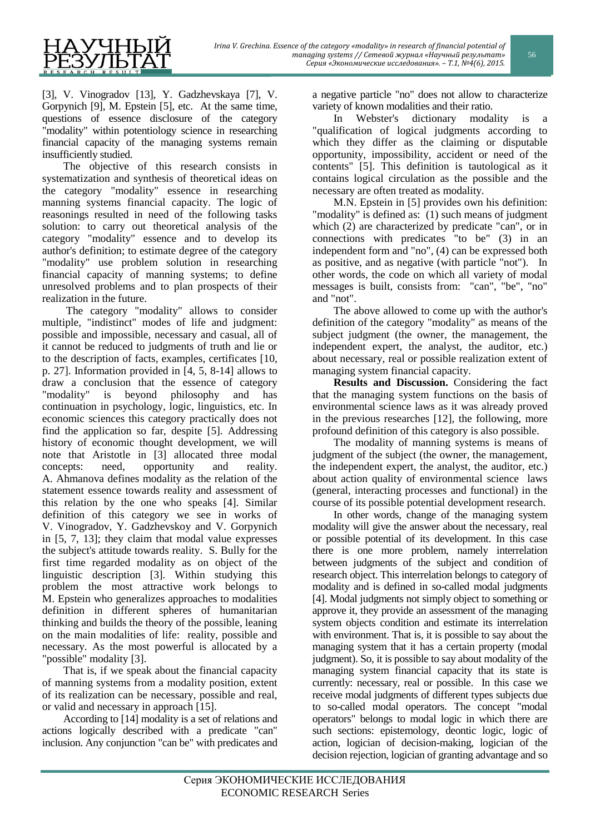

[3], V. Vinogradov [13], Y. Gadzhevskaya [7], V. Gorpynich [9], M. Epstein [5], etc. At the same time, questions of essence disclosure of the category "modality" within potentiology science in researching financial capacity of the managing systems remain insufficiently studied.

The objective of this research consists in systematization and synthesis of theoretical ideas on the category "modality" essence in researching manning systems financial capacity. The logic of reasonings resulted in need of the following tasks solution: to carry out theoretical analysis of the category "modality" essence and to develop its author's definition; to estimate degree of the category "modality" use problem solution in researching financial capacity of manning systems; to define unresolved problems and to plan prospects of their realization in the future.

The category "modality" allows to consider multiple, "indistinct" modes of life and judgment: possible and impossible, necessary and casual, all of it cannot be reduced to judgments of truth and lie or to the description of facts, examples, certificates [10, p. 27]. Information provided in [4, 5, 8-14] allows to draw a conclusion that the essence of category "modality" is beyond philosophy and has continuation in psychology, logic, linguistics, etc. In economic sciences this category practically does not find the application so far, despite [5]. Addressing history of economic thought development, we will note that Aristotle in [3] allocated three modal concepts: need, opportunity and reality. A. Ahmanova defines modality as the relation of the statement essence towards reality and assessment of this relation by the one who speaks [4]. Similar definition of this category we see in works of V. Vinogradov, Y. Gadzhevskoy and V. Gorpynich in [5, 7, 13]; they claim that modal value expresses the subject's attitude towards reality. S. Bully for the first time regarded modality as on object of the linguistic description [3]. Within studying this problem the most attractive work belongs to M. Epstein who generalizes approaches to modalities definition in different spheres of humanitarian thinking and builds the theory of the possible, leaning on the main modalities of life: reality, possible and necessary. As the most powerful is allocated by a "possible" modality [3].

That is, if we speak about the financial capacity of manning systems from a modality position, extent of its realization can be necessary, possible and real, or valid and necessary in approach [15].

According to [14] modality is a set of relations and actions logically described with a predicate "can" inclusion. Any conjunction "can be" with predicates and a negative particle "no" does not allow to characterize variety of known modalities and their ratio.

In Webster's dictionary modality is a "qualification of logical judgments according to which they differ as the claiming or disputable opportunity, impossibility, accident or need of the contents" [5]. This definition is tautological as it contains logical circulation as the possible and the necessary are often treated as modality.

M.N. Epstein in [5] provides own his definition: "modality" is defined as: (1) such means of judgment which (2) are characterized by predicate "can", or in connections with predicates "to be" (3) in an independent form and "no", (4) can be expressed both as positive, and as negative (with particle "not"). In other words, the code on which all variety of modal messages is built, consists from: "can", "be", "no" and "not".

The above allowed to come up with the author's definition of the category "modality" as means of the subject judgment (the owner, the management, the independent expert, the analyst, the auditor, etc.) about necessary, real or possible realization extent of managing system financial capacity.

**Results and Discussion.** Considering the fact that the managing system functions on the basis of environmental science laws as it was already proved in the previous researches [12], the following, more profound definition of this category is also possible.

The modality of manning systems is means of judgment of the subject (the owner, the management, the independent expert, the analyst, the auditor, etc.) about action quality of environmental science laws (general, interacting processes and functional) in the course of its possible potential development research.

In other words, change of the managing system modality will give the answer about the necessary, real or possible potential of its development. In this case there is one more problem, namely interrelation between judgments of the subject and condition of research object. This interrelation belongs to category of modality and is defined in so-called modal judgments [4]. Modal judgments not simply object to something or approve it, they provide an assessment of the managing system objects condition and estimate its interrelation with environment. That is, it is possible to say about the managing system that it has a certain property (modal judgment). So, it is possible to say about modality of the managing system financial capacity that its state is currently: necessary, real or possible. In this case we receive modal judgments of different types subjects due to so-called modal operators. The concept "modal operators" belongs to modal logic in which there are such sections: epistemology, deontic logic, logic of action, logician of decision-making, logician of the decision rejection, logician of granting advantage and so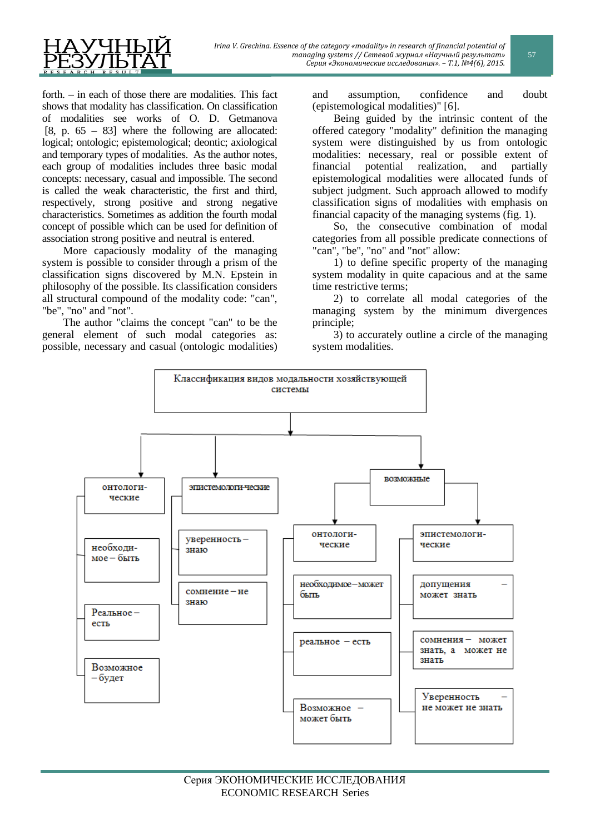forth. – in each of those there are modalities. This fact shows that modality has classification. On classification of modalities see works of O. D. Getmanova [8, p.  $65 - 83$ ] where the following are allocated: logical; ontologic; epistemological; deontic; axiological and temporary types of modalities. As the author notes, each group of modalities includes three basic modal concepts: necessary, casual and impossible. The second is called the weak characteristic, the first and third, respectively, strong positive and strong negative characteristics. Sometimes as addition the fourth modal concept of possible which can be used for definition of association strong positive and neutral is entered.

More capaciously modality of the managing system is possible to consider through a prism of the classification signs discovered by M.N. Epstein in philosophy of the possible. Its classification considers all structural compound of the modality code: "can", "be", "no" and "not".

The author "claims the concept "can" to be the general element of such modal categories as: possible, necessary and casual (ontologic modalities) and assumption, confidence and doubt (epistemological modalities)" [6].

Being guided by the intrinsic content of the offered category "modality" definition the managing system were distinguished by us from ontologic modalities: necessary, real or possible extent of financial potential realization, and partially epistemological modalities were allocated funds of subject judgment. Such approach allowed to modify classification signs of modalities with emphasis on financial capacity of the managing systems (fig. 1).

So, the consecutive combination of modal categories from all possible predicate connections of "can", "be", "no" and "not" allow:

1) to define specific property of the managing system modality in quite capacious and at the same time restrictive terms;

2) to correlate all modal categories of the managing system by the minimum divergences principle;

3) to accurately outline a circle of the managing system modalities.

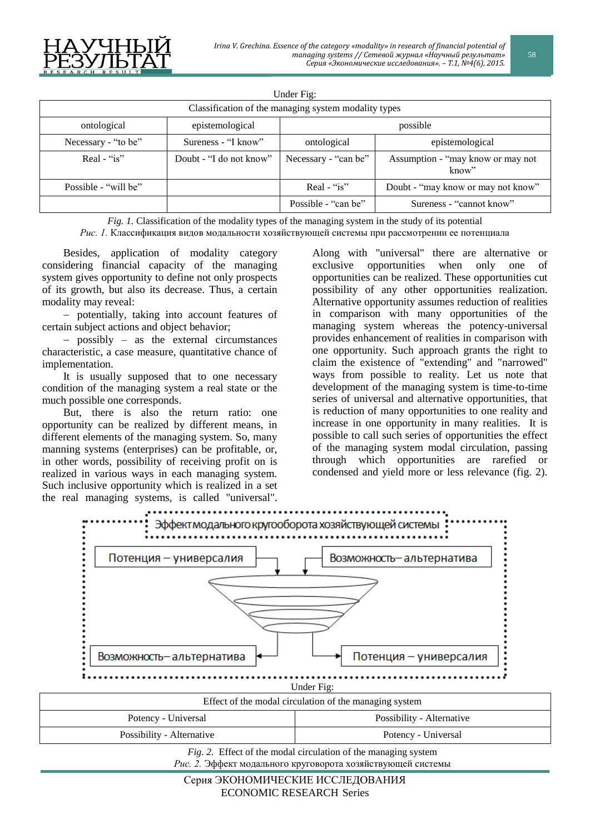

| Under Fig:                                           |                         |                      |                                            |
|------------------------------------------------------|-------------------------|----------------------|--------------------------------------------|
| Classification of the managing system modality types |                         |                      |                                            |
| ontological                                          | epistemological         | possible             |                                            |
| Necessary - "to be"                                  | Sureness - "I know"     | ontological          | epistemological                            |
| Real - " $is$ "                                      | Doubt - "I do not know" | Necessary - "can be" | Assumption - "may know or may not<br>know" |
| Possible - "will be"                                 |                         | Real - " $is$ "      | Doubt - "may know or may not know"         |
|                                                      |                         | Possible - "can be"  | Sureness - "cannot know"                   |

*Fig. 1.* Classification of the modality types of the managing system in the study of its potential

*Рис. 1.* Классификация видов модальности хозяйствующей системы при рассмотрении ее потенциала

Besides, application of modality category considering financial capacity of the managing system gives opportunity to define not only prospects of its growth, but also its decrease. Thus, a certain modality may reveal:

 potentially, taking into account features of certain subject actions and object behavior;

 possibly – as the external circumstances characteristic, a case measure, quantitative chance of implementation.

It is usually supposed that to one necessary condition of the managing system a real state or the much possible one corresponds.

But, there is also the return ratio: one opportunity can be realized by different means, in different elements of the managing system. So, many manning systems (enterprises) can be profitable, or, in other words, possibility of receiving profit on is realized in various ways in each managing system. Such inclusive opportunity which is realized in a set the real managing systems, is called "universal".

Along with "universal" there are alternative or exclusive opportunities when only one of opportunities can be realized. These opportunities cut possibility of any other opportunities realization. Alternative opportunity assumes reduction of realities in comparison with many opportunities of the managing system whereas the potency-universal provides enhancement of realities in comparison with one opportunity. Such approach grants the right to claim the existence of "extending" and "narrowed" ways from possible to reality. Let us note that development of the managing system is time-to-time series of universal and alternative opportunities, that is reduction of many opportunities to one reality and increase in one opportunity in many realities. It is possible to call such series of opportunities the effect of the managing system modal circulation, passing through which opportunities are rarefied or condensed and yield more or less relevance (fig. 2).



*Fig. 2.* Effect of the modal circulation of the managing system *Рис. 2.* Эффект модального круговорота хозяйствующей системы 58